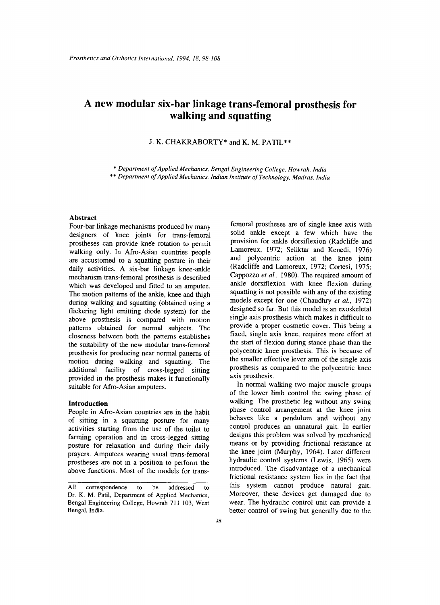# **A new modular six-bar linkage trans-femoral prosthesis for walking and squatting**

## J. K. CHAKRABORTY\* and K. M. **PATIL\*\***

\* *Department of Applied Mechanics, Bengal Engineering College, Howrah, India* 

\*\* *Department of Applied Mechanics, Indian Institute of Technology, Madras, India* 

### **Abstract**

Four-bar linkage mechanisms produced by many designers of knee joints for trans-femoral prostheses can provide knee rotation to permit walking only. In Afro-Asian countries people are accustomed to a squatting posture in their daily activities. A six-bar linkage knee-ankle mechanism trans-femoral prosthesis is described which was developed and fitted to an amputee. The motion patterns of the ankle, knee and thigh during walking and squatting (obtained using a flickering light emitting diode system) for the above prosthesis is compared with motion patterns obtained for normal subjects. The closeness between both the patterns establishes the suitability of the new modular trans-femoral prosthesis for producing near normal patterns of motion during walking and squatting. The additional facility of cross-legged sitting provided in the prosthesis makes it functionally suitable for Afro-Asian amputees.

## **Introduction**

People in Afro-Asian countries are in the habit of sitting in a squatting posture for many activities starting from the use of the toilet to farming operation and in cross-legged sitting posture for relaxation and during their daily prayers. Amputees wearing usual trans-femoral prostheses are not in a position to perform the above functions. Most of the models for trans-

femoral prostheses are of single knee axis with solid ankle except a few which have the provision for ankle dorsiflexion (Radcliffe and Lamoreux, 1972; Seliktar and Kenedi, 1976) and polycentric action at the knee joint (Radcliffe and Lamoreux, 1972; Cortesi, 1975; Cappozzo *et al.,* 1980). The required amount of ankle dorsiflexion with knee flexion during squatting is not possible with any of the existing models except for one (Chaudhry *et al.,* 1972) designed so far. But this model is an exoskeletal single axis prosthesis which makes it difficult to provide a proper cosmetic cover. This being a fixed, single axis knee, requires more effort at the start of flexion during stance phase than the polycentric knee prosthesis. This is because of the smaller effective lever arm of the single axis prosthesis as compared to the polycentric knee axis prosthesis.

In normal walking two major muscle groups of the lower limb control the swing phase of walking. The prosthetic leg without any swing phase control arrangement at the knee joint behaves like a pendulum and without any control produces an unnatural gait. In earlier designs this problem was solved by mechanical means or by providing frictional resistance at the knee joint (Murphy, 1964). Later different hydraulic control systems (Lewis, 1965) were introduced. The disadvantage of a mechanical frictional resistance system lies in the fact that this system cannot produce natural gait. Moreover, these devices get damaged due to wear. The hydraulic control unit can provide a better control of swing but generally due to the

All correspondence to be addressed to Dr. K. M. Patil, Department of Applied Mechanics, Bengal Engineering College, Howrah 711 103, West Bengal, India.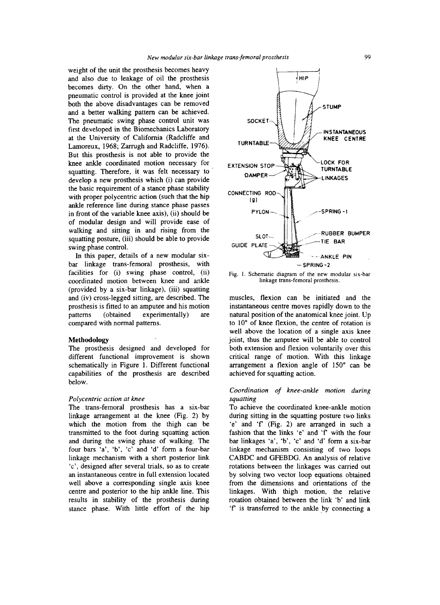weight of the unit the prosthesis becomes heavy and also due to leakage of oil the prosthesis becomes dirty. On the other hand, when a pneumatic control is provided at the knee joint both the above disadvantages can be removed and a better walking pattern can be achieved. The pneumatic swing phase control unit was first developed in the Biomechanics Laboratory at the University of California (Radcliffe and Lamoreux, 1968; Zarrugh and Radcliffe, 1976). But this prosthesis is not able to provide the knee ankle coordinated motion necessary for squatting. Therefore, it was felt necessary to develop a new prosthesis which (i) can provide the basic requirement of a stance phase stability with proper polycentric action (such that the hip ankle reference line during stance phase passes in front of the variable knee axis), (ii) should be of modular design and will provide ease of walking and sitting in and rising from the squatting posture, (iii) should be able to provide swing phase control.

In this paper, details of a new modular sixbar linkage trans-femoral prosthesis, with facilities for (i) swing phase control, (ii) coordinated motion between knee and ankle (provided by a six-bar linkage), (iii) squatting and (iv) cross-legged sitting, are described. The prosthesis is fitted to an amputee and his motion patterns (obtained experimentally) are compared with normal patterns.

## **Methodology**

The prosthesis designed and developed for different functional improvement is shown schematically in Figure 1. Different functional capabilities of the prosthesis are described below.

#### *Polycentric action at knee*

The trans-femoral prosthesis has a six-bar linkage arrangement at the knee (Fig. **2)** by which the motion from the thigh can be transmitted to the foot during squatting action and during the swing phase of walking. The four bars 'a', 'b', 'c' and 'd' form a four-bar linkage mechanism with a short posterior link 'c', designed after several trials, so as to create an instantaneous centre in full extension located well above **a** corresponding single axis knee centre and posterior to the hip ankle line. This results in stability of the prosthesis during stance phase. With little effort of the hip



**Fig. 1. Schematic diagram of the new modular six-bar linkage trans-femoral prosthesis.** 

muscles, flexion can be initiated and the instantaneous centre moves rapidly down to the natural position of the anatomical knee joint. Up to 10" of knee flexion, the centre of rotation is well above the location of a single axis knee joint, thus the amputee will be able to control both extension and flexion voluntarily over this critical range of motion. With this linkage arrangement a flexion angle of **150"** can be achieved for squatting action.

## *Coordination of knee-ankle motion during squatting*

To achieve the coordinated knee-ankle motion during sitting in the squatting posture two links 'e' and 'f (Fig. **2)** are arranged in such a fashion that the links 'e' and **'f** with the four bar linkages 'a', 'b', **'c'** and 'd' form a six-bar linkage mechanism consisting of two loops CABDC and GFEBDG. An analysis of relative rotations between the linkages was carried out by solving two vector loop equations obtained from the dimensions and orientations of the linkages. With thigh motion, the relative rotation obtained between the link 'b' and link 'f is transferred to the ankle by connecting a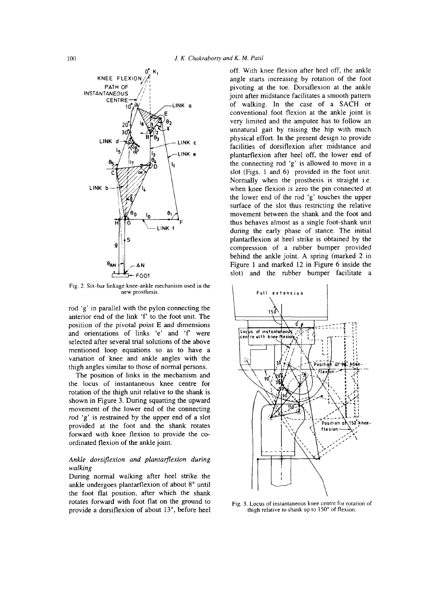

Fig. **2.** Six-bar linkage knee-ankle mechanism **used** in the new prosthesis.

rod 'g' in parallel with the pylon connecting the anterior end of the link **'f** to the foot unit. The position of the pivotal point E and dimensions and orientations of links 'e' and 'f were selected after several trial solutions of the above mentioned loop equations so as to have a variation of knee and ankle angles with the thigh angles similar to those of normal persons.

The position of links in the mechanism and the locus of instantaneous knee centre for rotation of the thigh unit relative to the shank is shown in Figure 3. During squatting the upward movement of the lower end of the connecting rod 'g' is restrained by the upper end of a slot provided at the foot and the shank rotates forward with knee flexion to provide the coordinated flexion of the ankle joint.

## *Ankle dorsiflexion and plantarflexion during walking*

During normal walking after heel strike the ankle undergoes plantarflexion of about 8° until the foot flat position, after which the shank rotates forward with foot flat on the ground to provide a dorsiflexion of about 13", before heel

off. With knee flexion after heel off, the ankle angle starts increasing by rotation of the foot pivoting at the toe. Dorsiflexion at the ankle joint after midstance facilitates a smooth pattern of walking. In the case of a **SACH** or conventional foot flexion at the ankle joint is very limited and the amputee has to follow an unnatural gait by raising the hip with much physical effort. In the present design to provide facilities of dorsiflexion after midstance and plantarflexion after heel off, the lower end of the connecting rod 'g' is allowed to move in a slot (Figs. 1 and 6) provided in the foot unit. Normally when the prosthesis is straight i.e. when knee flexion is zero the pin connected at the lower end of the rod 'g' touches the upper surface of the slot thus restricting the relative movement between the shank and the foot and thus behaves almost as a single foot-shank unit during the early phase of stance. The initial plantarflexion at heel strike is obtained by the compression of a rubber bumper provided behind the ankle joint. **A** spring (marked 2 in Figure 1 and marked 12 in Figure 6 inside the slot) and the rubber bumper facilitate a



Fig. **3.** Locus of instantaneous knee centre for rotation of thigh relative to shank **up** to 150" of flexion.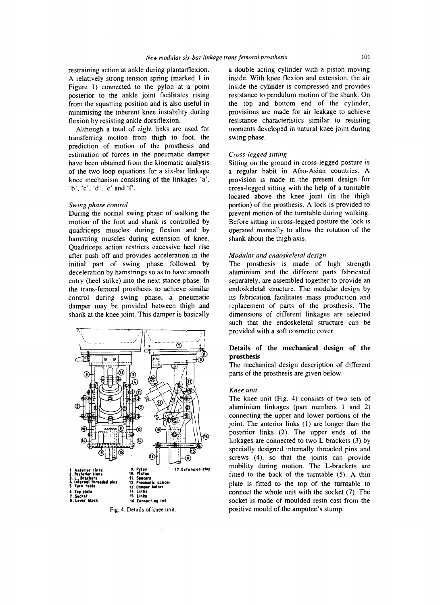restraining action at ankle during plantarflexion. A relatively strong tension spring (marked 1 in Figure 1) connected to the pylon at a point posterior to the ankle joint facilitates rising from the squatting position and is also useful in minimising the inherent knee instability during flexion by resisting ankle dorsiflexion.

Although a total of eight links are used for transferring motion from thigh to foot, the prediction of motion of the prosthesis and estimation of forces in the pneumatic damper have been obtained from the kinematic analysis. of the two loop equations for a six-bar linkage knee mechanism consisting of the linkages 'a', 'b'. 'c', 'd', 'e' and 'f.

#### *Swing phase control*

During the normal swing phase of walking the motion of the foot and shank is controlled by quadriceps muscles during flexion and by hamstring muscles during extension of knee. Quadriceps action restricts excessive heel rise after push off and provides acceleration in the initial part of swing phase followed by deceleration by hamstrings so as to have smooth entry (heel strike) into the next stance phase. In the trans-femoral prosthesis to achieve similar control during swing phase, a pneumatic damper may be provided between thigh and shank at the knee joint. This damper is basically



Fig. **4.**  Details of knee unit.

a double acting cylinder with a piston moving inside. With knee flexion and extension, the air inside the cylinder is compressed and provides resistance to pendulum motion of the shank. On the top and bottom end of the cylinder, provisions are made for air leakage to achieve resistance characteristics similar to resisting moments developed in natural knee joint during swing phase.

#### *Cross-legged sitting*

Sitting on the ground in cross-legged posture is a regular habit in Afro-Asian countries. A provision is made in the present design for cross-legged sitting with the help of a turntable located above the knee joint (in the thigh portion) of the prosthesis. A lock is provided to prevent motion of the turntable during walking. Before sitting in cross-legged posture the lock is operated manually to allow the rotation of the shank about the thigh axis.

#### *Modular and endoskeletal design*

The prosthesis is made of high strength aluminium and the different parts fabricated separately, are assembled together to provide an endoskeletal structure. The modular design by its fabrication facilitates mass production and replacement of parts of the prosthesis. The dimensions of different linkages are selected such that the endoskeletal structure can be ntrol during swing phase, a pneumatic<br>
mper may be provided between thigh and<br>
ank at the knee joint. This damper is basically<br>
when that the endoskeletal structure<br>
metals of the mechanical desire<br>
and the endoskeletal st

## **Details of the mechanical design of the prosthesis**

The mechanical design description of different parts of the prosthesis are given below.

## *Knee unit*

The knee unit (Fig. **4)** consists of two sets of aluminium linkages (part numbers 1 and 2) connecting the upper and lower portions of the joint. The anterior links (1) are longer than the posterior links (2). The upper ends of the linkages are connected to two L-brackets *(3)* by specially designed internally threaded pins and screws **(4),** so that the joints can provide mobility during motion. The L-brackets are fitted to the back of the turntable (5). A thin plate is fitted to the top of the turntable to connect the whole unit with the socket (7). The socket is made of moulded resin cast from the positive mould of the amputee's stump.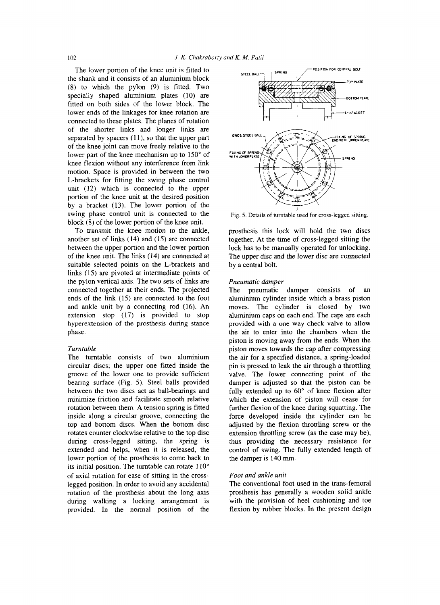The lower portion of the knee unit is fitted to the shank and it consists of an aluminium block (8) to which the pylon (9) is fitted. Two specially shaped aluminium plates (10) are fitted on both sides of the lower block. The lower ends of the linkages for knee rotation are connected to these plates. The planes of rotation of the shorter links and longer links are separated by spacers (11), so that the upper part of the knee joint can move freely relative to the lower part of the knee mechanism up to 150° of knee flexion without any interference from link motion. Space is provided in between the two L-brackets for fitting the swing phase control unit **(12)** which is connected to the upper portion of the knee unit at the desired position by a bracket (13). The lower portion of the swing phase control unit is connected to the block (8) of the lower portion of the knee unit.

To transmit the knee motion to the ankle, another set of links (14) and (15) are connected between the upper portion and the lower portion of the knee unit. The links (14) are connected at suitable selected points on the L-brackets and links (15) are pivoted at intermediate points of the pylon vertical axis. The two sets of links are connected together at their ends. The projected ends of the link (15) are connected to the foot and ankle unit by a connecting rod (16). An extension stop (17) is provided to stop hyperextension of the prosthesis during stance phase.

#### *Turntable*

The turntable consists of two aluminium circular discs; the upper one fitted inside the groove of the lower one to provide sufficient bearing surface (Fig. *5).* Steel balls provided between the two discs act as ball-bearings and minimize friction and facilitate smooth relative rotation between them. **A** tension spring is fitted inside along a circular groove, connecting the top and bottom discs. When the bottom disc rotates counter clockwise relative to the top disc during cross-legged sitting, the spring is extended and helps, when it is released, the lower portion of the prosthesis to come back to its initial position. The turntable can rotate 110" of axial rotation for ease of sitting in the crosslegged position. In order to avoid any accidental rotation of the prosthesis about the long axis during walking a locking arrangement is provided. In the normal position of the



Fig. *5.* Details of turntable used for cross-legged sitting.

prosthesis this lock will hold the two discs together. At the time of cross-legged sitting the **lock** has to be manually operated for unlocking. The upper disc and the lower disc are connected by a central bolt.

#### *Pneumatic damper*

The pneumatic damper consists of an aluminium cylinder inside which a brass piston moves. The cylinder is closed by two aluminium caps on each end. The caps are each provided with a one way check valve to allow the air to enter into the chambers when the piston is moving away from the ends. When the piston moves towards the cap after compressing the air for a specified distance, a spring-loaded pin is pressed to leak the air through a throttling valve. The lower connecting point of the damper is adjusted so that the piston can be fully extended up to 60° of knee flexion after which the extension of piston will cease for further flexion of the knee during squatting. The force developed inside the cylinder can be adjusted by the flexion throttling screw or the extension throttling screw (as the case may be), thus providing the necessary resistance for control of swing. The fully extended length of the damper is 140 mm.

#### *Foot and ankle unit*

The conventional foot used in the trans-femoral prosthesis has generally a wooden solid ankle with the provision of heel cushioning and toe flexion by rubber blocks. In the present design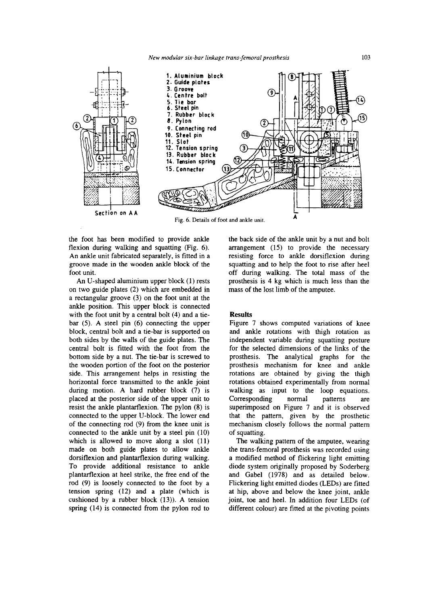

the foot has been modified to provide ankle flexion during walking and squatting (Fig. *6).*  An ankle unit fabricated separately, is fitted in a groove made in the wooden ankle block of the foot unit.

An U-shaped aluminium upper block (1) rests on two guide plates **(2)** which are embedded in a rectangular groove **(3)** on the foot unit at the ankle position. This upper block is connected with the foot unit by a central bolt (4) and a tiebar (5). A steel pin (6) connecting the upper block, central bolt and a tie-bar is supported on both sides by the walls of the guide plates. The central bolt **is** fitted with the foot from the bottom side by a nut. The tie-bar is screwed to the wooden portion of the foot on the posterior side. This arrangement helps in resisting the horizontal force transmitted to the ankle joint during motion. A hard rubber block (7) is placed at the posterior side of the upper unit to resist the ankle plantarflexion. The pylon **(8)** is connected to the upper U-block. The lower end of the connecting rod (9) from the knee unit is connected to the ankle unit by a steel pin (10) which is allowed to move along a slot (11) made on both guide plates to allow ankle dorsiflexion and plantarflexion during walking. To provide additional resistance to ankle plantarflexion at heel strike, the free end of the rod (9) is loosely connected to the foot by a tension spring (12) and a plate (which is cushioned by a rubber block (13)). **A** tension spring (14) is connected from the pylon rod to

the back side of the ankle unit by a nut and bolt arrangement (15) to provide the necessary resisting force to ankle dorsiflexion during squatting and to help the foot to rise after heel off during walking. The total mass of the prosthesis is 4 kg which is much less than the mass of the lost limb of the amputee.

## **Results**

Figure 7 shows computed variations of knee and ankle rotations with thigh rotation as independent variable during squatting posture for the selected dimensions of the links of the prosthesis. The analytical graphs for the prosthesis mechanism for knee and ankle rotations are obtained by giving the thigh rotations obtained experimentally from normal walking as input to the loop equations. Corresponding normal patterns are superimposed on Figure 7 and it is observed that the pattern, given by the prosthetic mechanism closely follows the normal pattern of squatting.

The walking pattern of the amputee, wearing the trans-femoral prosthesis was recorded using a modified method of flickering light emitting diode system originally proposed by Soderberg and Gabel (1978) and as detailed below. Flickering light emitted diodes **(LEDs)** are fitted at hip, above and below the knee joint, ankle joint, toe and heel. In addition four **LEDs** (of different colour) are fitted at the pivoting points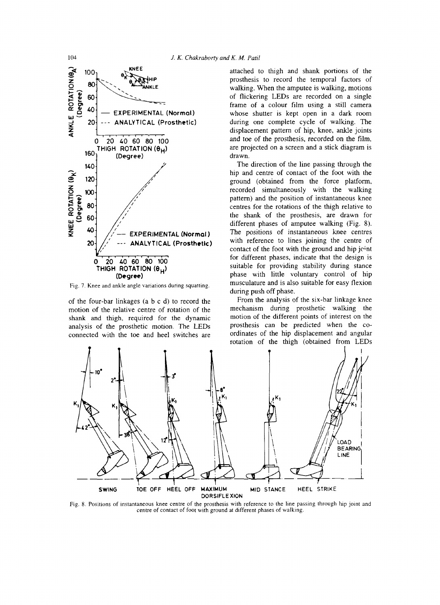

Fig. 7. Knee and ankle angle variations during squatting.

of the four-bar linkages (a b c d) to record the motion of the relative centre of rotation of the shank and thigh, required for the dynamic analysis of the prosthetic motion. The LEDs connected with the toe and heel switches are

attached to thigh and shank portions of the prosthesis to record the temporal factors of walking. When the amputee is walking, motions of flickering LEDs are recorded on a single frame of a colour film using a still camera whose shutter is kept open in a dark room during one complete cycle of walking. The displacement pattern of hip, knee, ankle joints and toe of the prosthesis, recorded on the film, are projected on a screen and a stick diagram is drawn.

The direction of the line passing through the hip and centre of contact of the foot with the ground (obtained from the force platform, recorded simultaneously with the walking pattern) and the position of instantaneous knee centres for the rotations of the thigh relative to the shank of the prosthesis, are drawn for different phases of amputee walking (Fig. 8). The positions of instantaneous knee centres with reference to lines joining the centre of contact of the foot with the ground and hip jcint for different phases, indicate that the design is suitable for providing stability during stance phase with little voluntary control of hip musculature and is also suitable for easy flexion during push off phase.

From the analysis of the six-bar linkage knee mechanism during prosthetic walking the motion of the different points of interest on the prosthesis can be predicted when the coordinates of the hip displacement and angular rotation *of* the thigh (obtained from LEDs



Fig. 8. Positions of instantaneous knee centre of the prosthesis with reference to the line passing through hip joint and centre of contact of foot with ground at different phases of walking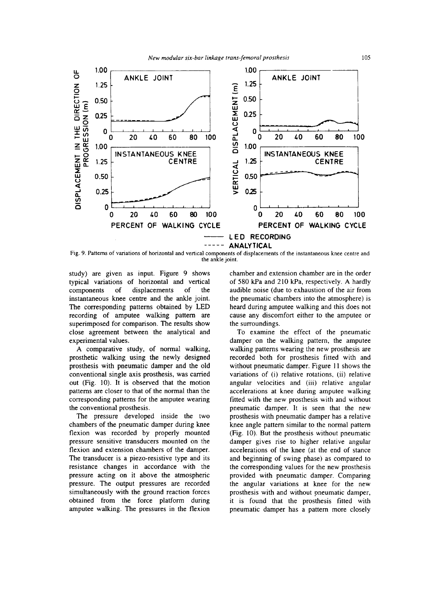

Fig. 9. Patterns of variations of horizontal and vertical components of displacements of the instantaneous knee centre and the ankle joint.

study) are given as input. Figure 9 shows typical variations of horizontal and vertical components of displacements of the instantaneous knee centre and the ankle joint. The corresponding patterns obtained by LED recording of amputee walking pattern are superimposed for comparison. The results show close agreement between the analytical and experimental values.

**A** comparative study, of normal walking, prosthetic walking using the newly designed prosthesis with pneumatic damper and the old conventional single axis prosthesis, was carried out (Fig. 10). It is observed that the motion patterns are closer to that of the normal than the corresponding patterns for the amputee wearing the conventional prosthesis.

The pressure developed inside the two chambers of the pneumatic damper during knee flexion was recorded by properly mounted pressure sensitive transducers mounted on the flexion and extension chambers of the damper. The transducer is a piezo-resistive type and its resistance changes in accordance with the pressure acting on it above the atmospheric pressure. The output pressures are recorded simultaneously with the ground reaction forces obtained from the force platform during amputee walking. The pressures in the flexion

chamber and extension chamber are in the order of 580 kPa and 210 kPa, respectively. **A** hardly audible noise (due to exhaustion of the air from the pneumatic chambers into the atmosphere) is heard during amputee walking and this does not cause any discomfort either to the amputee or the surroundings.

To examine the effect of the pneumatic damper on the walking pattern, the amputee walking patterns wearing the new prosthesis are recorded both for prosthesis fitted with and without pneumatic damper. Figure **11** shows the variations of (i) relative rotations, (ii) relative angular velocities and (iii) relative angular accelerations at knee during amputee walking fitted with the new prosthesis with and without pneumatic damper. It is seen that the new prosthesis with pneumatic damper has a relative knee angle pattern similar to the normal pattern (Fig. 10). But the prosthesis without pneumatic damper gives rise to higher relative angular accelerations of the knee (at the end of stance and beginning of swing phase) as compared to the corresponding values for the new prosthesis provided with pneumatic damper. Comparing the angular variations at knee for the new prosthesis with and without pneumatic damper, it is found that the prosthesis fitted with pneumatic damper has a pattern more closely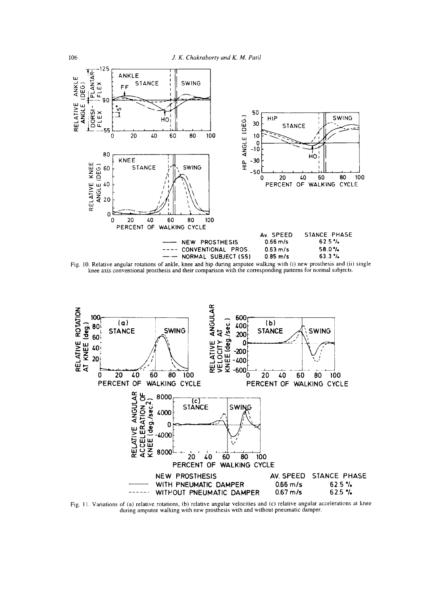





Fig. 11. Variations of (a) relative rotations, (b) relative angular velocities and (c) relative angular accelerations at knee during amputee walking with new prosthesis with and without pneumatic damper.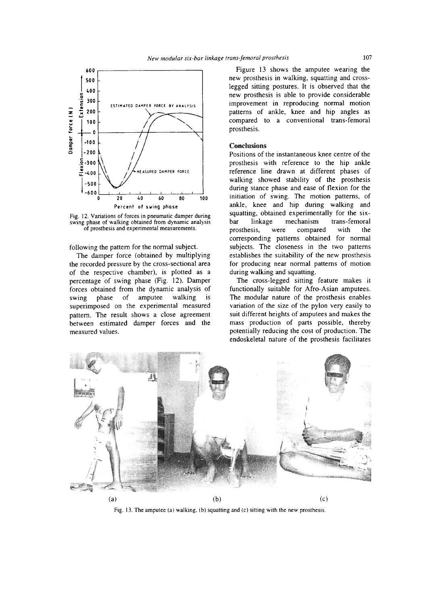



Fig. **12.** Variations of forces in pneumatic damper during swing phase of walking obtained from dynamic analysis *of* prosthesis and experimental measurements.

following the pattern for the normal subject.

The damper force (obtained by multiplying the recorded pressure by the cross-sectional area of the respective chamber), is plotted as a percentage of swing phase (Fig. 12). Damper forces obtained from the dynamic analysis of swing phase of amputee walking is superimposed on the experimental measured pattern. The result shows a close agreement between estimated damper forces and the measured values.

Figure 13 shows the amputee wearing the new prosthesis in walking, squatting and crosslegged sitting postures. It is observed that the new prosthesis is able to provide considerable improvement in reproducing normal motion patterns of ankle, knee and hip angles as compared to a conventional trans-femoral prosthesis.

## **Conclusions**

Positions of the instantaneous knee centre of the prosthesis with reference to the hip ankle reference line drawn at different phases of walking showed stability of the prosthesis during stance phase and ease of flexion for the initiation of swing. The motion patterns, of ankle, knee and hip during walking and squatting, obtained experimentally for the sixbar linkage mechanism trans-femoral prosthesis, were compared with the corresponding patterns obtained for normal subjects. The closeness in the two patterns establishes the suitability of the new prosthesis for producing near normal patterns of motion during walking and squatting.

The cross-legged sitting feature makes it functionally suitable for Afro-Asian amputees. The modular nature of the prosthesis enables variation of the size of the pylon very easily to suit different heights of amputees and makes the mass production of parts possible, thereby potentially reducing the cost of production. The endoskeletal nature of the prosthesis facilitates



Fig. 13. The amputee (a) walking, (b) squatting and (c) sitting with the new prosthesis.